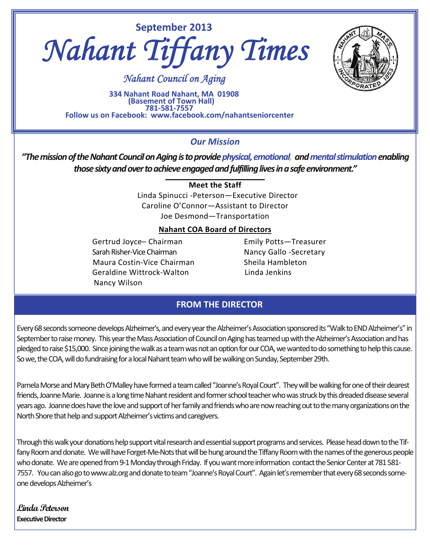



 *Nahant Council on Aging* 

334 Nahant Road Nahant, MA 01908<br>(Basement of Town Hall)<br>Follow us on Facebook: www.facebook.com/nahantseniorcenter

## *Our Mission*

*"ThemissionoftheNahantCouncilonAgingistoprovidephysical,emotional, andmentalstimulationenabling* those sixty and over to achieve engaged and fulfilling lives in a safe environment."

**Meet the Staff**

 Linda Spinucci ‐Peterson—Executive Director Caroline O'Connor—Assistant to Director Joe Desmond—Transportation

## **Nahant COA Board of Directors**

Gertrud Joyce- Chairman **Emily Potts-Treasurer**  SarahRisher‐Vice Chairman Nancy Gallo ‐Secretary Maura Costin-Vice Chairman **Sheila Hambleton**  Geraldine Wittrock‐Walton Linda Jenkins Nancy Wilson

## **FROM THE DIRECTOR**

Every 68 seconds someone develops Alzheimer's, and every year the Alzheimer's Association sponsored its "Walk to END Alzheimer's" in September to raise money. This year the Mass Association of Council on Aging has teamed up with the Alzheimer's Association and has pledged to raise \$15,000. Since joining the walk as a team was not an option for our COA, we wanted to do something to help this cause. So we, the COA, will do fundraising for a local Nahant team who will be walking on Sunday, September 29th.

Pamela Morse and Mary Beth O'Malley have formed a team called "Joanne's Royal Court". They will be walking for one of their dearest friends, Joanne Marie. Joanne is a long time Nahant resident and former school teacher who was struck by this dreaded disease several years ago. Joanne does have the love and support of her family and friends who are now reaching out to the many organizations on the North Shore that help and support Alzheimer's victims and caregivers.

Through this walk your donations help support vital research and essential support programs and services. Please head down to the Tiffany Room and donate. We will have Forget‐Me‐Nots that will be hung around the Tiffany Room with the names of the generous people who donate. We are opened from 9-1 Monday through Friday. If you want more information contact the Senior Center at 781 581-7557. You can also go to www.alz.org and donate to team "Joanne's Royal Court". Again let's remember that every 68 seconds someone develops Alzheimer's

**Linda Peterson Executive Director**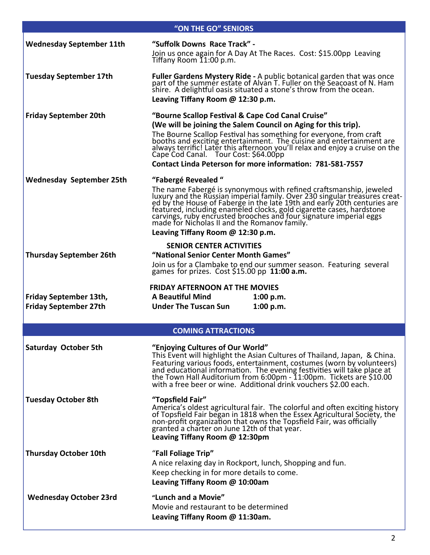| "ON THE GO" SENIORS                                    |                                                                                                                                                                                                                                                                                                                                                                                                                                                               |  |  |  |
|--------------------------------------------------------|---------------------------------------------------------------------------------------------------------------------------------------------------------------------------------------------------------------------------------------------------------------------------------------------------------------------------------------------------------------------------------------------------------------------------------------------------------------|--|--|--|
| <b>Wednesday September 11th</b>                        | "Suffolk Downs Race Track" -<br>Join us once again for A Day At The Races. Cost: \$15.00pp Leaving<br>Tiffany Room 11:00 p.m.                                                                                                                                                                                                                                                                                                                                 |  |  |  |
| <b>Tuesday September 17th</b>                          | Fuller Gardens Mystery Ride - A public botanical garden that was once part of the summer estate of Alvan T. Fuller on the Seacoast of N. Ham shire. A delightful oasis situated a stone's throw from the ocean.<br>Leaving Tiffany Room @ 12:30 p.m.                                                                                                                                                                                                          |  |  |  |
| <b>Friday September 20th</b>                           | "Bourne Scallop Festival & Cape Cod Canal Cruise"<br>(We will be joining the Salem Council on Aging for this trip).<br>The Bourne Scallop Festival has something for everyone, from craft<br>booths and exciting entertainment. The cuisine and entertainment are<br>always terrific! Later this afternoon you'll relax and enjoy a cruise on the<br>Cape Cod Canal. Tour Cost: \$64.00pp<br><b>Contact Linda Peterson for more information: 781-581-7557</b> |  |  |  |
| <b>Wednesday September 25th</b>                        | "Fabergé Revealed"<br>The name Fabergé is synonymous with refined craftsmanship, jeweled<br>luxury and the Russian imperial family. Over 230 singular treasures creat-<br>ed by the House of Faberge in the late 19th and early 20th centuries are<br>feature<br>Leaving Tiffany Room @ 12:30 p.m.                                                                                                                                                            |  |  |  |
| <b>Thursday September 26th</b>                         | <b>SENIOR CENTER ACTIVITIES</b><br>"National Senior Center Month Games"<br>Join us for a Clambake to end our summer season. Featuring several<br>games for prizes. Cost $$15.00$ pp 11:00 a.m.                                                                                                                                                                                                                                                                |  |  |  |
| Friday September 13th,<br><b>Friday September 27th</b> | <b>FRIDAY AFTERNOON AT THE MOVIES</b><br><b>A Beautiful Mind</b><br>1:00 p.m.<br><b>Under The Tuscan Sun</b><br>1:00 p.m.                                                                                                                                                                                                                                                                                                                                     |  |  |  |
|                                                        | <b>COMING ATTRACTIONS</b>                                                                                                                                                                                                                                                                                                                                                                                                                                     |  |  |  |
| <b>Saturday October 5th</b>                            | "Enjoying Cultures of Our World"<br>This Event will highlight the Asian Cultures of Thailand, Japan, & China.<br>Featuring various foods, entertainment, costumes (worn by volunteers)<br>and educational information. The evening festivities will take place at<br>the Town Hall Auditorium from 6:00pm - 11:00pm. Tickets are \$10.00 with a free beer or wine. Additional drink vouchers \$2.00 each.                                                     |  |  |  |
| <b>Tuesday October 8th</b>                             | "Topsfield Fair"<br>America's oldest agricultural fair. The colorful and often exciting history<br>of Topsfield Fair began in 1818 when the Essex Agricultural Society, the<br>non-profit organization that owns the Topsfield Fair, was officially<br>granted a charter on June 12th of that year.<br>Leaving Tiffany Room @ 12:30pm                                                                                                                         |  |  |  |
| <b>Thursday October 10th</b>                           | "Fall Foliage Trip"<br>A nice relaxing day in Rockport, lunch, Shopping and fun.<br>Keep checking in for more details to come.<br>Leaving Tiffany Room @ 10:00am                                                                                                                                                                                                                                                                                              |  |  |  |
| <b>Wednesday October 23rd</b>                          | "Lunch and a Movie"<br>Movie and restaurant to be determined<br>Leaving Tiffany Room @ 11:30am.                                                                                                                                                                                                                                                                                                                                                               |  |  |  |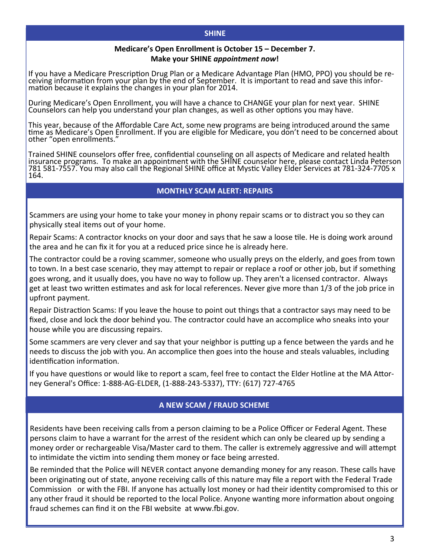#### **SHINE**

### **Medicare's Open Enrollment is October 15 – December 7. Make your SHINE** *appointment now***!**

If you have a Medicare Prescription Drug Plan or a Medicare Advantage Plan (HMO, PPO) you should be re-<br>ceiving information from your plan by the end of September. It is important to read and save this infor-<br>mation becaus

During Medicare's Open Enrollment, you will have a chance to CHANGE your plan for next year. SHINE Counselors can help you understand your plan changes, as well as other options you may have.

This year, because of the Affordable Care Act, some new programs are being introduced around the same time as Medicare's Open Enrollment. If you are eligible for Medicare, you don't need to be concerned about other "open enrollments."

Trained SHINE counselors offer free, confidential counseling on all aspects of Medicare and related health insurance programs. To make an appointment with the SHINE counselor here, please contact Linda Peterson 781 581-7557. You may also call the Regional SHINE office at Mystic Valley Elder Services at 781-324-7705 x 164.

### **MONTHLY SCAM ALERT: REPAIRS**

Scammers are using your home to take your money in phony repair scams or to distract you so they can physically steal items out of your home.

Repair Scams: A contractor knocks on your door and says that he saw a loose tile. He is doing work around the area and he can fix it for you at a reduced price since he is already here.

The contractor could be a roving scammer, someone who usually preys on the elderly, and goes from town to town. In a best case scenario, they may attempt to repair or replace a roof or other job, but if something goes wrong, and it usually does, you have no way to follow up. They aren't a licensed contractor. Always get at least two written estimates and ask for local references. Never give more than 1/3 of the job price in upfront payment.

Repair Distraction Scams: If you leave the house to point out things that a contractor says may need to be fixed, close and lock the door behind you. The contractor could have an accomplice who sneaks into your house while you are discussing repairs.

Some scammers are very clever and say that your neighbor is putting up a fence between the yards and he needs to discuss the job with you. An accomplice then goes into the house and steals valuables, including identification information.

If you have questions or would like to report a scam, feel free to contact the Elder Hotline at the MA Attorney General's Office: 1‐888‐AG‐ELDER, (1‐888‐243‐5337), TTY: (617) 727‐4765

## **A NEW SCAM / FRAUD SCHEME**

Residents have been receiving calls from a person claiming to be a Police Officer or Federal Agent. These persons claim to have a warrant for the arrest of the resident which can only be cleared up by sending a money order or rechargeable Visa/Master card to them. The caller is extremely aggressive and will attempt to intimidate the victim into sending them money or face being arrested.

Be reminded that the Police will NEVER contact anyone demanding money for any reason. These calls have been originating out of state, anyone receiving calls of this nature may file a report with the Federal Trade Commission or with the FBI. If anyone has actually lost money or had their identity compromised to this or any other fraud it should be reported to the local Police. Anyone wanting more information about ongoing fraud schemes can find it on the FBI website at www.fbi.gov.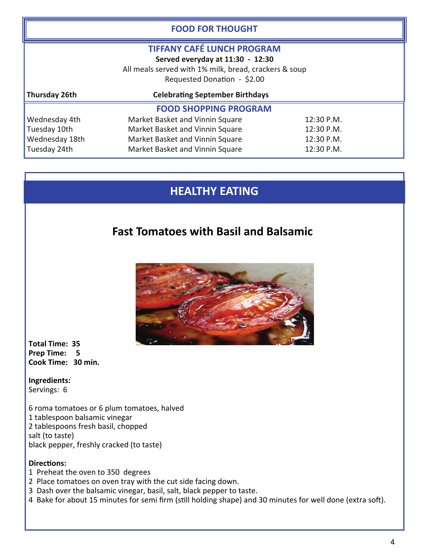| <b>FOOD FOR THOUGHT</b>                                                                                                                                       |                                               |            |  |  |
|---------------------------------------------------------------------------------------------------------------------------------------------------------------|-----------------------------------------------|------------|--|--|
| <b>TIFFANY CAFÉ LUNCH PROGRAM</b><br>Served everyday at 11:30 - 12:30<br>All meals served with 1% milk, bread, crackers & soup<br>Requested Donation - \$2.00 |                                               |            |  |  |
| Thursday 26th                                                                                                                                                 | <b>Celebrating September Birthdays</b>        |            |  |  |
| <b>FOOD SHOPPING PROGRAM</b>                                                                                                                                  |                                               |            |  |  |
| Wednesday 4th                                                                                                                                                 | Market Basket and Vinnin Square               | 12:30 P.M. |  |  |
| Tuesday 10th                                                                                                                                                  | Market Basket and Vinnin Square<br>12:30 P.M. |            |  |  |
| Wednesday 18th                                                                                                                                                | Market Basket and Vinnin Square<br>12:30 P.M. |            |  |  |
| Tuesday 24th                                                                                                                                                  | Market Basket and Vinnin Square<br>12:30 P.M. |            |  |  |

# **HEALTHY EATING**

## **Fast Tomatoes with Basil and Balsamic**



 **Total Time: 35 Prep Time: 5 Cook Time: 30 min.**

 **Ingredients:** Servings: 6

L 6 roma tomatoes or 6 plum tomatoes, halved 1 tablespoon balsamic vinegar 2 tablespoons fresh basil, chopped salt (to taste) black pepper, freshly cracked (to taste)

## **DirecƟons:**

- 1 Preheat the oven to 350 degrees
- 2 Place tomatoes on oven tray with the cut side facing down.
- 3 Dash over the balsamic vinegar, basil, salt, black pepper to taste.
- 4 Bake for about 15 minutes for semi firm (still holding shape) and 30 minutes for well done (extra soft).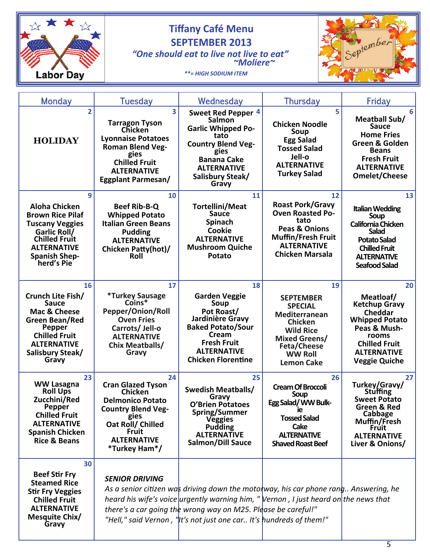

# **SEPTEMBER 2013**

 *"One should eat to live not live to eat" ~Moliere~*



 *\*\*= HIGH SODIUM ITEM* 

| Monday                                                                                                                                                                             | Tuesday                                                                                                                                                                                                       | Wednesday                                                                                                                                                                                                                                                                                                           | <b>Thursday</b>                                                                                                                                                                      | Friday                                                                                                                                                                            |
|------------------------------------------------------------------------------------------------------------------------------------------------------------------------------------|---------------------------------------------------------------------------------------------------------------------------------------------------------------------------------------------------------------|---------------------------------------------------------------------------------------------------------------------------------------------------------------------------------------------------------------------------------------------------------------------------------------------------------------------|--------------------------------------------------------------------------------------------------------------------------------------------------------------------------------------|-----------------------------------------------------------------------------------------------------------------------------------------------------------------------------------|
| $\overline{2}$<br><b>HOLIDAY</b>                                                                                                                                                   | $\overline{\mathbf{3}}$<br><b>Tarragon Tyson</b><br><b>Chicken</b><br><b>Lyonnaise Potatoes</b><br><b>Roman Blend Veg-</b><br>gies<br><b>Chilled Fruit</b><br><b>ALTERNATIVE</b><br><b>Eggplant Parmesan/</b> | Sweet Red Pepper 4<br><b>Salmon</b><br><b>Garlic Whipped Po-</b><br>tato<br><b>Country Blend Veg-</b><br>gies<br><b>Banana Cake</b><br><b>ALTERNATIVE</b><br>Salisbury Steak/<br>Gravy                                                                                                                              | 5<br><b>Chicken Noodle</b><br>Soup<br><b>Egg Salad</b><br><b>Tossed Salad</b><br>Jell-o<br><b>ALTERNATIVE</b><br><b>Turkey Salad</b>                                                 | 6<br><b>Meatball Sub/</b><br><b>Sauce</b><br><b>Home Fries</b><br>Green & Golden<br><b>Beans</b><br><b>Fresh Fruit</b><br><b>ALTERNATIVE</b><br><b>Omelet/Cheese</b>              |
| 9<br><b>Aloha Chicken</b><br><b>Brown Rice Pilaf</b><br><b>Tuscany Veggies</b><br>Garlic Roll/<br><b>Chilled Fruit</b><br><b>ALTERNATIVE</b><br><b>Spanish Shep-</b><br>herd's Pie | 10<br><b>Beef Rib-B-Q</b><br><b>Whipped Potato</b><br><b>Italian Green Beans</b><br><b>Pudding</b><br><b>ALTERNATIVE</b><br><b>Chicken Patty(hot)/</b><br>Roll                                                | 11<br><b>Tortellini/Meat</b><br><b>Sauce</b><br>Spinach<br><b>Cookie</b><br><b>ALTERNATIVE</b><br><b>Mushroom Quiche</b><br>Potato                                                                                                                                                                                  | 12<br><b>Roast Pork/Gravy</b><br><b>Oven Roasted Po-</b><br>tato<br><b>Peas &amp; Onions</b><br><b>Muffin/Fresh Fruit</b><br><b>ALTERNATIVE</b><br><b>Chicken Marsala</b>            | 13<br><b>Italian Wedding</b><br>Soup<br>California Chicken<br><b>Salad</b><br><b>Potato Salad</b><br><b>Chilled Fruit</b><br><b>ALTERNATIVE</b><br><b>Seafood Salad</b>           |
| 16<br>Crunch Lite Fish/<br><b>Sauce</b><br>Mac & Cheese<br>Green Bean/Red<br><b>Pepper</b><br><b>Chilled Fruit</b><br><b>ALTERNATIVE</b><br>Salisbury Steak/<br>Gravy              | 17<br><i><b>*Turkey Sausage</b></i><br>$Coins*$<br>Pepper/Onion/Roll<br><b>Oven Fries</b><br>Carrots/ Jell-o<br><b>ALTERNATIVE</b><br><b>Chix Meatballs/</b><br>Gravy                                         | 18<br><b>Garden Veggie</b><br>Soup<br>Pot Roast/<br>Jardinière Gravy<br><b>Baked Potato/Sour</b><br>Cream<br><b>Fresh Fruit</b><br><b>ALTERNATIVE</b><br><b>Chicken Florentine</b>                                                                                                                                  | 19<br><b>SEPTEMBER</b><br><b>SPECIAL</b><br>Mediterranean<br><b>Chicken</b><br><b>Wild Rice</b><br><b>Mixed Greens/</b><br><b>Feta/Cheese</b><br><b>WW Roll</b><br><b>Lemon Cake</b> | 20<br>Meatloaf/<br><b>Ketchup Gravy</b><br><b>Cheddar</b><br><b>Whipped Potato</b><br>Peas & Mush-<br>rooms<br><b>Chilled Fruit</b><br><b>ALTERNATIVE</b><br><b>Veggie Quiche</b> |
| 23<br><b>WW Lasagna</b><br><b>Roll Ups</b><br>Zucchini/Red<br>Pepper<br><b>Chilled Fruit</b><br><b>ALTERNATIVE</b><br><b>Spanish Chicken</b><br><b>Rice &amp; Beans</b>            | 24<br><b>Cran Glazed Tyson</b><br><b>Chicken</b><br><b>Delmonico Potato</b><br><b>Country Blend Veg-</b><br>gies<br>Oat Roll/ Chilled<br><b>Fruit</b><br><b>ALTERNATIVE</b><br>*Turkey Ham*/                  | 25<br><b>Swedish Meatballs/</b><br>Gravy<br><b>O'Brien Potatoes</b><br>Spring/Summer<br><b>Veggies</b><br><b>Pudding</b><br><b>ALTERNATIVE</b><br>Salmon/Dill Sauce                                                                                                                                                 | 26<br><b>Cream Of Broccoli</b><br>Soup<br>Egg Salad/ WW Bulk-<br>ıе<br><b>Tossed Salad</b><br>Cake<br><b>ALTERNATIVE</b><br><b>Shaved Roast Beef</b>                                 | 27<br>Turkey/Gravy/<br><b>Stuffing</b><br><b>Sweet Potato</b><br>Green & Red<br>Cabbage<br>Muffin/Fresh<br><b>Fruit</b><br><b>ALTERNATIVE</b><br>Liver & Onions/                  |
| 30<br><b>Beef Stir Fry</b><br><b>Steamed Rice</b><br><b>Stir Fry Veggies</b><br><b>Chilled Fruit</b><br><b>ALTERNATIVE</b><br>Mesquite Chix/<br>Gravy                              | <b>SENIOR DRIVING</b>                                                                                                                                                                                         | As a senior citizen was driving down the motolway, his car phone rang Answering, he<br>heard his wife's voice urgently warning him, "Vernon, I just heard on the news that<br>there's a car going the wrong way on M25. Please be careful!"<br>"Hell," said Vernon, ' It's not just one car It's hundreds of them!" |                                                                                                                                                                                      |                                                                                                                                                                                   |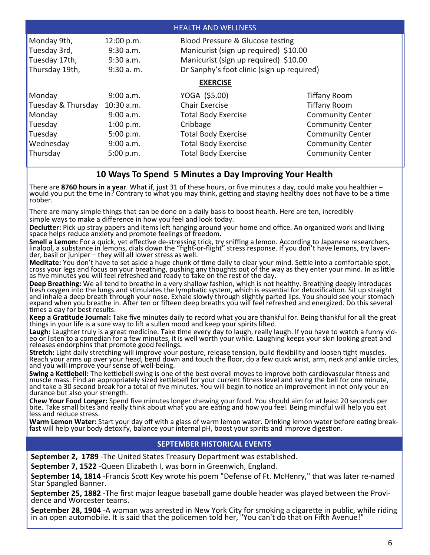| <b>HEALTH AND WELLNESS</b>                                    |                                                         |                            |                         |  |  |
|---------------------------------------------------------------|---------------------------------------------------------|----------------------------|-------------------------|--|--|
| Monday 9th,<br>Blood Pressure & Glucose testing<br>12:00 p.m. |                                                         |                            |                         |  |  |
| Tuesday 3rd,                                                  | Manicurist (sign up required) \$10.00<br>$9:30$ a.m.    |                            |                         |  |  |
| Tuesday 17th,                                                 | Manicurist (sign up required) \$10.00<br>$9:30$ a.m.    |                            |                         |  |  |
| Thursday 19th,                                                | Dr Sanphy's foot clinic (sign up required)<br>9:30a. m. |                            |                         |  |  |
| <b>EXERCISE</b>                                               |                                                         |                            |                         |  |  |
| Monday                                                        | 9:00 a.m.                                               | YOGA (\$5.00)              | <b>Tiffany Room</b>     |  |  |
| Tuesday & Thursday                                            | $10:30$ a.m.                                            | <b>Chair Exercise</b>      | <b>Tiffany Room</b>     |  |  |
| Monday                                                        | 9:00 a.m.                                               | <b>Total Body Exercise</b> | <b>Community Center</b> |  |  |
| Tuesday                                                       | 1:00 p.m.                                               | Cribbage                   | <b>Community Center</b> |  |  |
| Tuesday                                                       | 5:00 p.m.                                               | <b>Total Body Exercise</b> | <b>Community Center</b> |  |  |
| Wednesday                                                     | 9:00 a.m.                                               | <b>Total Body Exercise</b> | <b>Community Center</b> |  |  |
| Thursday                                                      | 5:00 p.m.                                               | <b>Total Body Exercise</b> | <b>Community Center</b> |  |  |

## **10 Ways To Spend 5 Minutes a Day Improving Your Health**

There are 8760 hours in a year. What if, just 31 of these hours, or five minutes a day, could make you healthier  $-$  would you put the time in? Contrary to what you may think, getting and staying healthy does not have to robber.

There are many simple things that can be done on a daily basis to boost health. Here are ten, incredibly simple ways to make a difference in how you feel and look today.

Declutter: Pick up stray papers and items left hanging around your home and office. An organized work and living space helps reduce anxiety and promote feelings of freedom.

**Smell a Lemon:** For a quick, yet effective de-stressing trick, try sniffing a lemon. According to Japanese researchers, linalool, a substance in lemons, dials down the "fight-̃or-flight" stress response. If you don≀t have lemons, try laven-́<br>der, basil or juniper – they will all lower stress as well.

**Meditate:** You don't have to set aside a huge chunk of time daily to clear your mind. Settle into a comfortable spot, cross your legs and focus on your breathing, pushing any thoughts out of the way as they enter your mind. In as little as five minutes you will feel refreshed and ready to take on the rest of the day.

**Deep Breathing:** We all tend to breathe in a very shallow fashion, which is not healthy. Breathing deeply introduces fresh oxygen into the lungs and stimulates the lymphatic system, which is essential for detoxification. Sit up straight<br>and inhale a deep breath through your nose. Exhale slowly through slightly parted lips. You should see expand when you breathe in. After ten or fifteen deep breaths you will feel refreshed and energized. Do this several Ɵmes a day for best results.

Keep a Gratitude Journal: Take five minutes daily to record what you are thankful for. Being thankful for all the great things in your life is a sure way to lift a sullen mood and keep your spirits lifted.

Laugh: Laughter truly is a great medicine. Take time every day to laugh, really laugh. If you have to watch a funny vid-<br>eo or listen to a comedian for a few minutes, it is well worth your while. Laughing keeps your skin l releases endorphins that promote good feelings.

Stretch: Light daily stretching will improve your posture, release tension, build flexibility and loosen tight muscles. Reach your arms up over your head, bend down and touch the floor, do a few quick wrist, arm, neck and ankle circles, and you will improve your sense of well-being.

**Swing a Kettlebell:** The kettlebell swing is one of the best overall moves to improve both cardiovascular fitness and muscle mass. Find an appropriately sized kettlebell for your current fitness level and swing the bell for one minute, and take a 30 second break for a total of five minutes. You will begin to notice an improvement in not only your en-<br>durance but also your strength.

**Chew Your Food Longer:** Spend five minutes longer chewing your food. You should aim for at least 20 seconds per<br>bite. Take small bites and really think about what you are eating and how you feel. Being mindful will help y less and reduce stress.

Warm Lemon Water: Start your day off with a glass of warm lemon water. Drinking lemon water before eating break-<br>fast will help your body detoxify, balance your internal pH, boost your spirits and improve digestion.

## **SEPTEMBER HISTORICAL EVENTS**

**September 2, 1789** ‐The United States Treasury Department was established.

**September 7, 1522** ‐Queen Elizabeth I, was born in Greenwich, England.

**September 14, 1814** ‐Francis ScoƩ Key wrote his poem "Defense of Ft. McHenry," that was later re‐named Star Spangled Banner.

**September 25, 1882** -The first major league baseball game double header was played between the Provi-<br>dence and Worcester teams.

**September 28, 1904** ‐A woman was arrested in New York City for smoking a cigareƩe in public, while riding in an open automobile. It is said that the policemen told her, "You can't do that on Fifth Avenue!"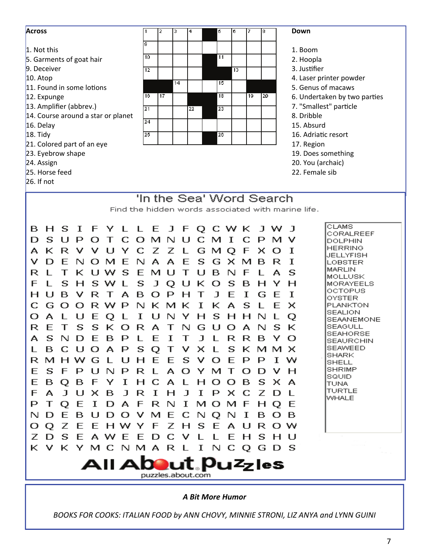| 9<br>1. Not this<br>1. Boom<br>10 <sup>1</sup><br>11<br>5. Garments of goat hair<br>2. Hoopla<br>9. Deceiver<br>3. Justifier<br>12<br>13<br>$10.$ Atop<br>4. Laser printer powder<br>14<br>15<br>5. Genus of macaws<br>11. Found in some lotions<br>17<br>18<br>19<br>16<br>20<br>6. Undertaken by two parties<br>12. Expunge<br>13. Amplifier (abbrev.)<br>7. "Smallest" particle<br>21<br>23<br>22<br>8. Dribble<br>14. Course around a star or planet<br>24<br>16. Delay<br>15. Absurd<br>18. Tidy<br>16. Adriatic resort<br>25<br>26<br>21. Colored part of an eye<br>17. Region<br>23. Eyebrow shape<br>19. Does something<br>24. Assign<br>20. You (archaic)<br>25. Horse feed<br>22. Female sib<br>$26.$ If not<br>'In the Sea' Word Search<br>Find the hidden words associated with marine life.<br><b>CLAMS</b><br>L L E<br>J F Q C W K<br>в<br>H S I F<br>Y.<br>J W<br>CORALREEF<br>S.<br>$O$ M N<br>D<br>$\mathbf{C}$<br>-11<br>P<br>C.<br>м<br>T<br>C.<br>P<br>О<br>T<br>U<br>м<br>DOLPHIN<br><b>HERRING</b><br>ĸ<br>U<br>С<br>Ζ<br>R<br>Y<br>z<br>G<br>м<br>I<br>А<br>v<br>v<br>О<br>L<br>x<br>JELLYFISH<br>v<br>E<br>N<br>S<br>D<br>N<br>м<br>F<br>А<br>А<br>F<br>G<br>×<br>M<br>I<br>О<br>в<br>R<br>LOBSTER<br><b>MARLIN</b><br>S<br>R<br>Е<br>s<br>ĸ<br>w.<br>м<br>в<br>N<br>1 L<br>U<br>т<br>U<br>E<br>А<br><b>MOLLUSK</b><br>F<br>S<br>s<br>s<br>J<br>ĸ<br>s<br>Н<br>w<br>U<br>в<br>Н<br>н<br>Q<br>Ο<br><b>MORAYEELS</b><br>OCTOPUS<br>$\mathbf{L}$<br>B<br>Н<br>v<br>R<br>А<br>в<br>Ω<br>$\mathbf{J}$<br>F<br>I<br>I<br>Т<br>P<br>н<br>т<br>G<br>F<br>OYSTER<br>G<br>С<br>R W<br>N<br>K.<br>ĸ<br>I<br>ĸ<br>s<br>PLANKTON<br>$\Omega$<br>Ω<br>P<br>м<br>А<br>F<br>×<br>SEALION<br>А<br>U<br>I<br>s<br>О<br>E<br>Н<br>Н<br>N<br>Ο<br>v<br>O<br><b>SEAANEMONE</b><br>E<br>SEAGULL<br>R<br>$\top$<br>s<br>S.<br>K<br>R A<br>G<br>U<br>О<br>А<br>N<br>s<br>ĸ<br>О<br>$\top$<br>N<br>SEAHORSE<br>S.<br>N D<br>E.<br>B P<br>E<br>$\mathbf{J}$<br>А<br>$\mathbf{I}$<br>L R R B Y<br>О<br>$\top$<br>L<br>SEAURCHIN<br>SEAWEED<br>L B C U O A P S Q T V X L S K M M X<br>SHARK<br>R M H W G L U H E E S V<br>$\circ$<br>- E<br>P P<br>T W<br><b>SHELL</b><br><b>SHRIMP</b><br>ESFPUNPRLAO<br>YM<br>T<br>vн<br>О<br>Ð<br>SQUID<br>E<br>B Q B F<br>Y I<br>$H$ C<br>A L<br>H O<br>s<br>$\circ$<br>B<br>x a<br><b>TUNA</b><br><b>TURTLE</b><br>$\mathbf{J}$<br>$\bf I$<br>Ζ<br>F.<br>A<br>UXB<br>$\mathbf{J}$<br>- R<br>$\mathbf{J}$<br>Ι.<br>P<br>×с<br>H<br>D<br><b>WHALE</b><br>DAFRN<br>$\mathbf{I}$<br>P<br>$\top$<br>$\circ$<br>E<br>1<br>M <sub>O</sub><br>M F<br>H<br>$\circ$<br>-E<br>- E<br>D O V M E<br>C.<br>N Q<br>N<br>N D<br>U<br>$\bf I$<br>- B<br>в<br>в<br>О<br>O Q Z<br>EHWYF<br>Ζ<br>S E<br>E<br>AUROW<br>H<br>Z D S E A W E E D<br>- C<br>E<br>s<br>v<br>L<br>H U<br>L<br>Н<br>K V K Y M C N M A R L I N C Q G D S<br>All About. Puzzles<br>puzzles.about.com | <b>Across</b> | з<br>2 | 16<br>4<br>5<br>17<br>8 | <b>Down</b> |
|-----------------------------------------------------------------------------------------------------------------------------------------------------------------------------------------------------------------------------------------------------------------------------------------------------------------------------------------------------------------------------------------------------------------------------------------------------------------------------------------------------------------------------------------------------------------------------------------------------------------------------------------------------------------------------------------------------------------------------------------------------------------------------------------------------------------------------------------------------------------------------------------------------------------------------------------------------------------------------------------------------------------------------------------------------------------------------------------------------------------------------------------------------------------------------------------------------------------------------------------------------------------------------------------------------------------------------------------------------------------------------------------------------------------------------------------------------------------------------------------------------------------------------------------------------------------------------------------------------------------------------------------------------------------------------------------------------------------------------------------------------------------------------------------------------------------------------------------------------------------------------------------------------------------------------------------------------------------------------------------------------------------------------------------------------------------------------------------------------------------------------------------------------------------------------------------------------------------------------------------------------------------------------------------------------------------------------------------------------------------------------------------------------------------------------------------------------------------------------------------------------------------------------------------------------------------------------------------------------------------------------------------------------------------------------------------------------------------------------------------------------------------------------------------------------------------------------------------------------------------------------------------|---------------|--------|-------------------------|-------------|
|                                                                                                                                                                                                                                                                                                                                                                                                                                                                                                                                                                                                                                                                                                                                                                                                                                                                                                                                                                                                                                                                                                                                                                                                                                                                                                                                                                                                                                                                                                                                                                                                                                                                                                                                                                                                                                                                                                                                                                                                                                                                                                                                                                                                                                                                                                                                                                                                                                                                                                                                                                                                                                                                                                                                                                                                                                                                                         |               |        |                         |             |
|                                                                                                                                                                                                                                                                                                                                                                                                                                                                                                                                                                                                                                                                                                                                                                                                                                                                                                                                                                                                                                                                                                                                                                                                                                                                                                                                                                                                                                                                                                                                                                                                                                                                                                                                                                                                                                                                                                                                                                                                                                                                                                                                                                                                                                                                                                                                                                                                                                                                                                                                                                                                                                                                                                                                                                                                                                                                                         |               |        |                         |             |
|                                                                                                                                                                                                                                                                                                                                                                                                                                                                                                                                                                                                                                                                                                                                                                                                                                                                                                                                                                                                                                                                                                                                                                                                                                                                                                                                                                                                                                                                                                                                                                                                                                                                                                                                                                                                                                                                                                                                                                                                                                                                                                                                                                                                                                                                                                                                                                                                                                                                                                                                                                                                                                                                                                                                                                                                                                                                                         |               |        |                         |             |
|                                                                                                                                                                                                                                                                                                                                                                                                                                                                                                                                                                                                                                                                                                                                                                                                                                                                                                                                                                                                                                                                                                                                                                                                                                                                                                                                                                                                                                                                                                                                                                                                                                                                                                                                                                                                                                                                                                                                                                                                                                                                                                                                                                                                                                                                                                                                                                                                                                                                                                                                                                                                                                                                                                                                                                                                                                                                                         |               |        |                         |             |
|                                                                                                                                                                                                                                                                                                                                                                                                                                                                                                                                                                                                                                                                                                                                                                                                                                                                                                                                                                                                                                                                                                                                                                                                                                                                                                                                                                                                                                                                                                                                                                                                                                                                                                                                                                                                                                                                                                                                                                                                                                                                                                                                                                                                                                                                                                                                                                                                                                                                                                                                                                                                                                                                                                                                                                                                                                                                                         |               |        |                         |             |
|                                                                                                                                                                                                                                                                                                                                                                                                                                                                                                                                                                                                                                                                                                                                                                                                                                                                                                                                                                                                                                                                                                                                                                                                                                                                                                                                                                                                                                                                                                                                                                                                                                                                                                                                                                                                                                                                                                                                                                                                                                                                                                                                                                                                                                                                                                                                                                                                                                                                                                                                                                                                                                                                                                                                                                                                                                                                                         |               |        |                         |             |
|                                                                                                                                                                                                                                                                                                                                                                                                                                                                                                                                                                                                                                                                                                                                                                                                                                                                                                                                                                                                                                                                                                                                                                                                                                                                                                                                                                                                                                                                                                                                                                                                                                                                                                                                                                                                                                                                                                                                                                                                                                                                                                                                                                                                                                                                                                                                                                                                                                                                                                                                                                                                                                                                                                                                                                                                                                                                                         |               |        |                         |             |
|                                                                                                                                                                                                                                                                                                                                                                                                                                                                                                                                                                                                                                                                                                                                                                                                                                                                                                                                                                                                                                                                                                                                                                                                                                                                                                                                                                                                                                                                                                                                                                                                                                                                                                                                                                                                                                                                                                                                                                                                                                                                                                                                                                                                                                                                                                                                                                                                                                                                                                                                                                                                                                                                                                                                                                                                                                                                                         |               |        |                         |             |
|                                                                                                                                                                                                                                                                                                                                                                                                                                                                                                                                                                                                                                                                                                                                                                                                                                                                                                                                                                                                                                                                                                                                                                                                                                                                                                                                                                                                                                                                                                                                                                                                                                                                                                                                                                                                                                                                                                                                                                                                                                                                                                                                                                                                                                                                                                                                                                                                                                                                                                                                                                                                                                                                                                                                                                                                                                                                                         |               |        |                         |             |
|                                                                                                                                                                                                                                                                                                                                                                                                                                                                                                                                                                                                                                                                                                                                                                                                                                                                                                                                                                                                                                                                                                                                                                                                                                                                                                                                                                                                                                                                                                                                                                                                                                                                                                                                                                                                                                                                                                                                                                                                                                                                                                                                                                                                                                                                                                                                                                                                                                                                                                                                                                                                                                                                                                                                                                                                                                                                                         |               |        |                         |             |
|                                                                                                                                                                                                                                                                                                                                                                                                                                                                                                                                                                                                                                                                                                                                                                                                                                                                                                                                                                                                                                                                                                                                                                                                                                                                                                                                                                                                                                                                                                                                                                                                                                                                                                                                                                                                                                                                                                                                                                                                                                                                                                                                                                                                                                                                                                                                                                                                                                                                                                                                                                                                                                                                                                                                                                                                                                                                                         |               |        |                         |             |
|                                                                                                                                                                                                                                                                                                                                                                                                                                                                                                                                                                                                                                                                                                                                                                                                                                                                                                                                                                                                                                                                                                                                                                                                                                                                                                                                                                                                                                                                                                                                                                                                                                                                                                                                                                                                                                                                                                                                                                                                                                                                                                                                                                                                                                                                                                                                                                                                                                                                                                                                                                                                                                                                                                                                                                                                                                                                                         |               |        |                         |             |
|                                                                                                                                                                                                                                                                                                                                                                                                                                                                                                                                                                                                                                                                                                                                                                                                                                                                                                                                                                                                                                                                                                                                                                                                                                                                                                                                                                                                                                                                                                                                                                                                                                                                                                                                                                                                                                                                                                                                                                                                                                                                                                                                                                                                                                                                                                                                                                                                                                                                                                                                                                                                                                                                                                                                                                                                                                                                                         |               |        |                         |             |
|                                                                                                                                                                                                                                                                                                                                                                                                                                                                                                                                                                                                                                                                                                                                                                                                                                                                                                                                                                                                                                                                                                                                                                                                                                                                                                                                                                                                                                                                                                                                                                                                                                                                                                                                                                                                                                                                                                                                                                                                                                                                                                                                                                                                                                                                                                                                                                                                                                                                                                                                                                                                                                                                                                                                                                                                                                                                                         |               |        |                         |             |
|                                                                                                                                                                                                                                                                                                                                                                                                                                                                                                                                                                                                                                                                                                                                                                                                                                                                                                                                                                                                                                                                                                                                                                                                                                                                                                                                                                                                                                                                                                                                                                                                                                                                                                                                                                                                                                                                                                                                                                                                                                                                                                                                                                                                                                                                                                                                                                                                                                                                                                                                                                                                                                                                                                                                                                                                                                                                                         |               |        |                         |             |
|                                                                                                                                                                                                                                                                                                                                                                                                                                                                                                                                                                                                                                                                                                                                                                                                                                                                                                                                                                                                                                                                                                                                                                                                                                                                                                                                                                                                                                                                                                                                                                                                                                                                                                                                                                                                                                                                                                                                                                                                                                                                                                                                                                                                                                                                                                                                                                                                                                                                                                                                                                                                                                                                                                                                                                                                                                                                                         |               |        |                         |             |
|                                                                                                                                                                                                                                                                                                                                                                                                                                                                                                                                                                                                                                                                                                                                                                                                                                                                                                                                                                                                                                                                                                                                                                                                                                                                                                                                                                                                                                                                                                                                                                                                                                                                                                                                                                                                                                                                                                                                                                                                                                                                                                                                                                                                                                                                                                                                                                                                                                                                                                                                                                                                                                                                                                                                                                                                                                                                                         |               |        |                         |             |
|                                                                                                                                                                                                                                                                                                                                                                                                                                                                                                                                                                                                                                                                                                                                                                                                                                                                                                                                                                                                                                                                                                                                                                                                                                                                                                                                                                                                                                                                                                                                                                                                                                                                                                                                                                                                                                                                                                                                                                                                                                                                                                                                                                                                                                                                                                                                                                                                                                                                                                                                                                                                                                                                                                                                                                                                                                                                                         |               |        |                         |             |
|                                                                                                                                                                                                                                                                                                                                                                                                                                                                                                                                                                                                                                                                                                                                                                                                                                                                                                                                                                                                                                                                                                                                                                                                                                                                                                                                                                                                                                                                                                                                                                                                                                                                                                                                                                                                                                                                                                                                                                                                                                                                                                                                                                                                                                                                                                                                                                                                                                                                                                                                                                                                                                                                                                                                                                                                                                                                                         |               |        |                         |             |
|                                                                                                                                                                                                                                                                                                                                                                                                                                                                                                                                                                                                                                                                                                                                                                                                                                                                                                                                                                                                                                                                                                                                                                                                                                                                                                                                                                                                                                                                                                                                                                                                                                                                                                                                                                                                                                                                                                                                                                                                                                                                                                                                                                                                                                                                                                                                                                                                                                                                                                                                                                                                                                                                                                                                                                                                                                                                                         |               |        |                         |             |
|                                                                                                                                                                                                                                                                                                                                                                                                                                                                                                                                                                                                                                                                                                                                                                                                                                                                                                                                                                                                                                                                                                                                                                                                                                                                                                                                                                                                                                                                                                                                                                                                                                                                                                                                                                                                                                                                                                                                                                                                                                                                                                                                                                                                                                                                                                                                                                                                                                                                                                                                                                                                                                                                                                                                                                                                                                                                                         |               |        |                         |             |
|                                                                                                                                                                                                                                                                                                                                                                                                                                                                                                                                                                                                                                                                                                                                                                                                                                                                                                                                                                                                                                                                                                                                                                                                                                                                                                                                                                                                                                                                                                                                                                                                                                                                                                                                                                                                                                                                                                                                                                                                                                                                                                                                                                                                                                                                                                                                                                                                                                                                                                                                                                                                                                                                                                                                                                                                                                                                                         |               |        |                         |             |
|                                                                                                                                                                                                                                                                                                                                                                                                                                                                                                                                                                                                                                                                                                                                                                                                                                                                                                                                                                                                                                                                                                                                                                                                                                                                                                                                                                                                                                                                                                                                                                                                                                                                                                                                                                                                                                                                                                                                                                                                                                                                                                                                                                                                                                                                                                                                                                                                                                                                                                                                                                                                                                                                                                                                                                                                                                                                                         |               |        |                         |             |
|                                                                                                                                                                                                                                                                                                                                                                                                                                                                                                                                                                                                                                                                                                                                                                                                                                                                                                                                                                                                                                                                                                                                                                                                                                                                                                                                                                                                                                                                                                                                                                                                                                                                                                                                                                                                                                                                                                                                                                                                                                                                                                                                                                                                                                                                                                                                                                                                                                                                                                                                                                                                                                                                                                                                                                                                                                                                                         |               |        |                         |             |
|                                                                                                                                                                                                                                                                                                                                                                                                                                                                                                                                                                                                                                                                                                                                                                                                                                                                                                                                                                                                                                                                                                                                                                                                                                                                                                                                                                                                                                                                                                                                                                                                                                                                                                                                                                                                                                                                                                                                                                                                                                                                                                                                                                                                                                                                                                                                                                                                                                                                                                                                                                                                                                                                                                                                                                                                                                                                                         |               |        |                         |             |
|                                                                                                                                                                                                                                                                                                                                                                                                                                                                                                                                                                                                                                                                                                                                                                                                                                                                                                                                                                                                                                                                                                                                                                                                                                                                                                                                                                                                                                                                                                                                                                                                                                                                                                                                                                                                                                                                                                                                                                                                                                                                                                                                                                                                                                                                                                                                                                                                                                                                                                                                                                                                                                                                                                                                                                                                                                                                                         |               |        |                         |             |
|                                                                                                                                                                                                                                                                                                                                                                                                                                                                                                                                                                                                                                                                                                                                                                                                                                                                                                                                                                                                                                                                                                                                                                                                                                                                                                                                                                                                                                                                                                                                                                                                                                                                                                                                                                                                                                                                                                                                                                                                                                                                                                                                                                                                                                                                                                                                                                                                                                                                                                                                                                                                                                                                                                                                                                                                                                                                                         |               |        |                         |             |
|                                                                                                                                                                                                                                                                                                                                                                                                                                                                                                                                                                                                                                                                                                                                                                                                                                                                                                                                                                                                                                                                                                                                                                                                                                                                                                                                                                                                                                                                                                                                                                                                                                                                                                                                                                                                                                                                                                                                                                                                                                                                                                                                                                                                                                                                                                                                                                                                                                                                                                                                                                                                                                                                                                                                                                                                                                                                                         |               |        |                         |             |
|                                                                                                                                                                                                                                                                                                                                                                                                                                                                                                                                                                                                                                                                                                                                                                                                                                                                                                                                                                                                                                                                                                                                                                                                                                                                                                                                                                                                                                                                                                                                                                                                                                                                                                                                                                                                                                                                                                                                                                                                                                                                                                                                                                                                                                                                                                                                                                                                                                                                                                                                                                                                                                                                                                                                                                                                                                                                                         |               |        |                         |             |
|                                                                                                                                                                                                                                                                                                                                                                                                                                                                                                                                                                                                                                                                                                                                                                                                                                                                                                                                                                                                                                                                                                                                                                                                                                                                                                                                                                                                                                                                                                                                                                                                                                                                                                                                                                                                                                                                                                                                                                                                                                                                                                                                                                                                                                                                                                                                                                                                                                                                                                                                                                                                                                                                                                                                                                                                                                                                                         |               |        |                         |             |
|                                                                                                                                                                                                                                                                                                                                                                                                                                                                                                                                                                                                                                                                                                                                                                                                                                                                                                                                                                                                                                                                                                                                                                                                                                                                                                                                                                                                                                                                                                                                                                                                                                                                                                                                                                                                                                                                                                                                                                                                                                                                                                                                                                                                                                                                                                                                                                                                                                                                                                                                                                                                                                                                                                                                                                                                                                                                                         |               |        |                         |             |
|                                                                                                                                                                                                                                                                                                                                                                                                                                                                                                                                                                                                                                                                                                                                                                                                                                                                                                                                                                                                                                                                                                                                                                                                                                                                                                                                                                                                                                                                                                                                                                                                                                                                                                                                                                                                                                                                                                                                                                                                                                                                                                                                                                                                                                                                                                                                                                                                                                                                                                                                                                                                                                                                                                                                                                                                                                                                                         |               |        |                         |             |
|                                                                                                                                                                                                                                                                                                                                                                                                                                                                                                                                                                                                                                                                                                                                                                                                                                                                                                                                                                                                                                                                                                                                                                                                                                                                                                                                                                                                                                                                                                                                                                                                                                                                                                                                                                                                                                                                                                                                                                                                                                                                                                                                                                                                                                                                                                                                                                                                                                                                                                                                                                                                                                                                                                                                                                                                                                                                                         |               |        |                         |             |
|                                                                                                                                                                                                                                                                                                                                                                                                                                                                                                                                                                                                                                                                                                                                                                                                                                                                                                                                                                                                                                                                                                                                                                                                                                                                                                                                                                                                                                                                                                                                                                                                                                                                                                                                                                                                                                                                                                                                                                                                                                                                                                                                                                                                                                                                                                                                                                                                                                                                                                                                                                                                                                                                                                                                                                                                                                                                                         |               |        |                         |             |
|                                                                                                                                                                                                                                                                                                                                                                                                                                                                                                                                                                                                                                                                                                                                                                                                                                                                                                                                                                                                                                                                                                                                                                                                                                                                                                                                                                                                                                                                                                                                                                                                                                                                                                                                                                                                                                                                                                                                                                                                                                                                                                                                                                                                                                                                                                                                                                                                                                                                                                                                                                                                                                                                                                                                                                                                                                                                                         |               |        |                         |             |
|                                                                                                                                                                                                                                                                                                                                                                                                                                                                                                                                                                                                                                                                                                                                                                                                                                                                                                                                                                                                                                                                                                                                                                                                                                                                                                                                                                                                                                                                                                                                                                                                                                                                                                                                                                                                                                                                                                                                                                                                                                                                                                                                                                                                                                                                                                                                                                                                                                                                                                                                                                                                                                                                                                                                                                                                                                                                                         |               |        |                         |             |
|                                                                                                                                                                                                                                                                                                                                                                                                                                                                                                                                                                                                                                                                                                                                                                                                                                                                                                                                                                                                                                                                                                                                                                                                                                                                                                                                                                                                                                                                                                                                                                                                                                                                                                                                                                                                                                                                                                                                                                                                                                                                                                                                                                                                                                                                                                                                                                                                                                                                                                                                                                                                                                                                                                                                                                                                                                                                                         |               |        |                         |             |
|                                                                                                                                                                                                                                                                                                                                                                                                                                                                                                                                                                                                                                                                                                                                                                                                                                                                                                                                                                                                                                                                                                                                                                                                                                                                                                                                                                                                                                                                                                                                                                                                                                                                                                                                                                                                                                                                                                                                                                                                                                                                                                                                                                                                                                                                                                                                                                                                                                                                                                                                                                                                                                                                                                                                                                                                                                                                                         |               |        |                         |             |
|                                                                                                                                                                                                                                                                                                                                                                                                                                                                                                                                                                                                                                                                                                                                                                                                                                                                                                                                                                                                                                                                                                                                                                                                                                                                                                                                                                                                                                                                                                                                                                                                                                                                                                                                                                                                                                                                                                                                                                                                                                                                                                                                                                                                                                                                                                                                                                                                                                                                                                                                                                                                                                                                                                                                                                                                                                                                                         |               |        |                         |             |
|                                                                                                                                                                                                                                                                                                                                                                                                                                                                                                                                                                                                                                                                                                                                                                                                                                                                                                                                                                                                                                                                                                                                                                                                                                                                                                                                                                                                                                                                                                                                                                                                                                                                                                                                                                                                                                                                                                                                                                                                                                                                                                                                                                                                                                                                                                                                                                                                                                                                                                                                                                                                                                                                                                                                                                                                                                                                                         |               |        |                         |             |
|                                                                                                                                                                                                                                                                                                                                                                                                                                                                                                                                                                                                                                                                                                                                                                                                                                                                                                                                                                                                                                                                                                                                                                                                                                                                                                                                                                                                                                                                                                                                                                                                                                                                                                                                                                                                                                                                                                                                                                                                                                                                                                                                                                                                                                                                                                                                                                                                                                                                                                                                                                                                                                                                                                                                                                                                                                                                                         |               |        |                         |             |
|                                                                                                                                                                                                                                                                                                                                                                                                                                                                                                                                                                                                                                                                                                                                                                                                                                                                                                                                                                                                                                                                                                                                                                                                                                                                                                                                                                                                                                                                                                                                                                                                                                                                                                                                                                                                                                                                                                                                                                                                                                                                                                                                                                                                                                                                                                                                                                                                                                                                                                                                                                                                                                                                                                                                                                                                                                                                                         |               |        |                         |             |
|                                                                                                                                                                                                                                                                                                                                                                                                                                                                                                                                                                                                                                                                                                                                                                                                                                                                                                                                                                                                                                                                                                                                                                                                                                                                                                                                                                                                                                                                                                                                                                                                                                                                                                                                                                                                                                                                                                                                                                                                                                                                                                                                                                                                                                                                                                                                                                                                                                                                                                                                                                                                                                                                                                                                                                                                                                                                                         |               |        |                         |             |
|                                                                                                                                                                                                                                                                                                                                                                                                                                                                                                                                                                                                                                                                                                                                                                                                                                                                                                                                                                                                                                                                                                                                                                                                                                                                                                                                                                                                                                                                                                                                                                                                                                                                                                                                                                                                                                                                                                                                                                                                                                                                                                                                                                                                                                                                                                                                                                                                                                                                                                                                                                                                                                                                                                                                                                                                                                                                                         |               |        |                         |             |
|                                                                                                                                                                                                                                                                                                                                                                                                                                                                                                                                                                                                                                                                                                                                                                                                                                                                                                                                                                                                                                                                                                                                                                                                                                                                                                                                                                                                                                                                                                                                                                                                                                                                                                                                                                                                                                                                                                                                                                                                                                                                                                                                                                                                                                                                                                                                                                                                                                                                                                                                                                                                                                                                                                                                                                                                                                                                                         |               |        |                         |             |
|                                                                                                                                                                                                                                                                                                                                                                                                                                                                                                                                                                                                                                                                                                                                                                                                                                                                                                                                                                                                                                                                                                                                                                                                                                                                                                                                                                                                                                                                                                                                                                                                                                                                                                                                                                                                                                                                                                                                                                                                                                                                                                                                                                                                                                                                                                                                                                                                                                                                                                                                                                                                                                                                                                                                                                                                                                                                                         |               |        |                         |             |
|                                                                                                                                                                                                                                                                                                                                                                                                                                                                                                                                                                                                                                                                                                                                                                                                                                                                                                                                                                                                                                                                                                                                                                                                                                                                                                                                                                                                                                                                                                                                                                                                                                                                                                                                                                                                                                                                                                                                                                                                                                                                                                                                                                                                                                                                                                                                                                                                                                                                                                                                                                                                                                                                                                                                                                                                                                                                                         |               |        |                         |             |

*A Bit More Humor*

*BOOKS FOR COOKS: ITALIAN FOOD by ANN CHOVY, MINNIE STRONI, LIZ ANYA and LYNN GUINI*